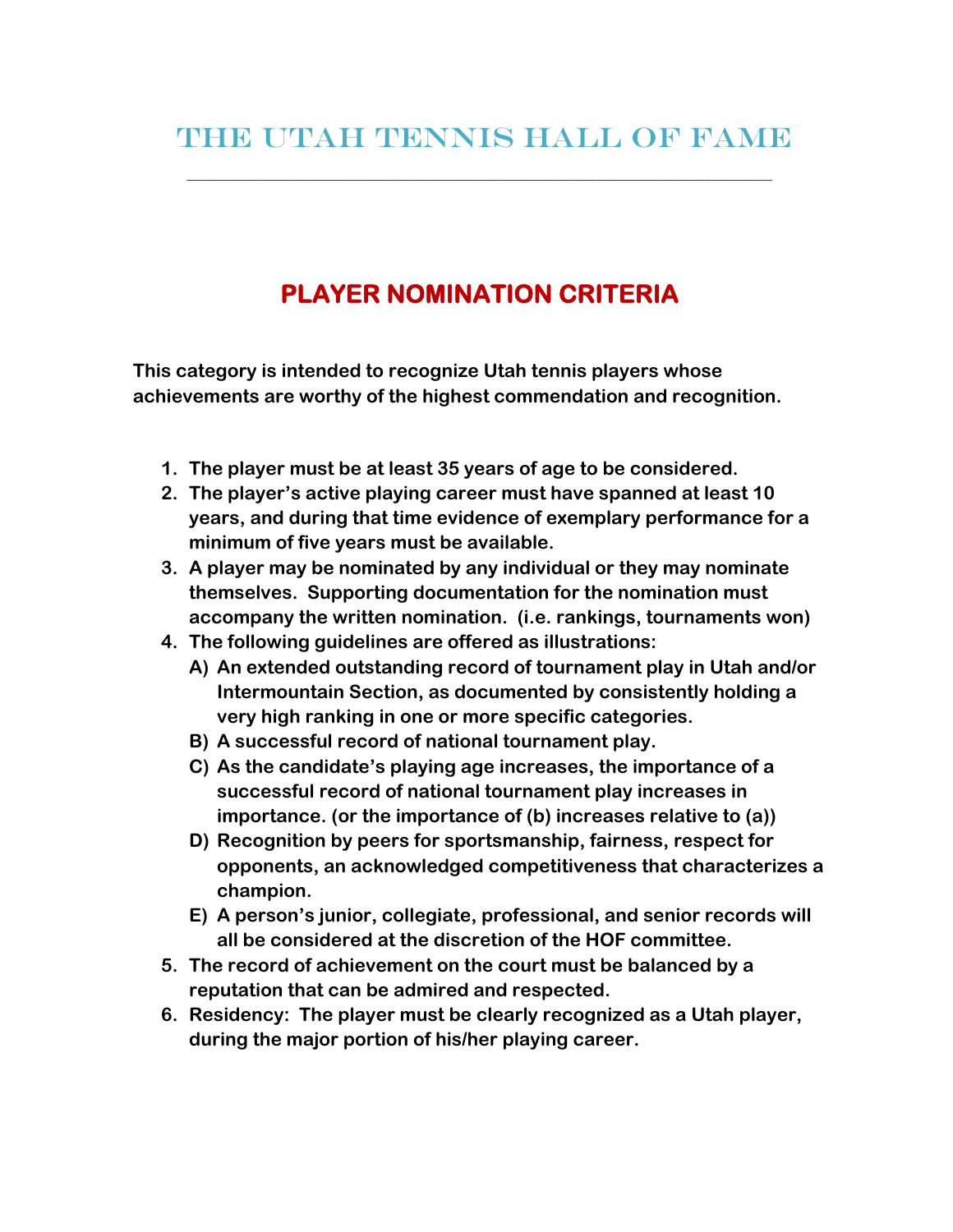\_\_\_\_\_\_\_\_\_\_\_\_\_\_\_\_\_\_\_\_\_\_\_\_\_\_\_\_\_\_\_\_\_\_\_\_\_\_\_\_\_\_\_\_\_\_\_\_\_\_\_\_\_\_\_\_\_\_\_\_\_\_\_\_\_\_\_\_\_\_\_\_\_\_\_\_\_\_\_\_\_\_\_\_\_\_\_\_\_\_\_\_\_\_

## **PLAYER NOMINATION CRITERIA**

**This category is intended to recognize Utah tennis players whose achievements are worthy of the highest commendation and recognition.** 

- **1. The player must be at least 35 years of age to be considered.**
- **2. The player's active playing career must have spanned at least 10 years, and during that time evidence of exemplary performance for a minimum of five years must be available.**
- **3. A player may be nominated by any individual or they may nominate themselves. Supporting documentation for the nomination must accompany the written nomination. (i.e. rankings, tournaments won)**
- **4. The following guidelines are offered as illustrations:** 
	- **A) An extended outstanding record of tournament play in Utah and/or Intermountain Section, as documented by consistently holding a very high ranking in one or more specific categories.**
	- **B) A successful record of national tournament play.**
	- **C) As the candidate's playing age increases, the importance of a successful record of national tournament play increases in importance. (or the importance of (b) increases relative to (a))**
	- **D) Recognition by peers for sportsmanship, fairness, respect for opponents, an acknowledged competitiveness that characterizes a champion.**
	- **E) A person's junior, collegiate, professional, and senior records will all be considered at the discretion of the HOF committee.**
- **5. The record of achievement on the court must be balanced by a reputation that can be admired and respected.**
- **6. Residency: The player must be clearly recognized as a Utah player, during the major portion of his/her playing career.**